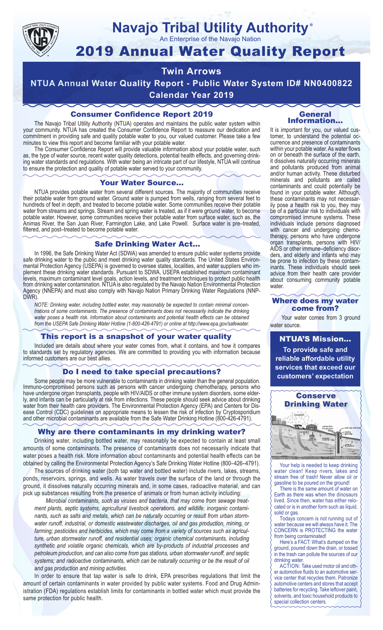

# **Navajo Tribal Utility Authority** ®

An Enterprise of the Navajo Nation

# 2019 Annual Water Quality Report

# **Twin Arrows**

**NTUA Annual Water Quality Report - Public Water System ID# NN0400822 Calendar Year 2019**

# Consumer Confidence Report 2019

The Navajo Tribal Utility Authority (NTUA) operates and maintains the public water system within your community. NTUA has created the Consumer Confidence Report to reassure our dedication and commitment in providing safe and quality potable water to you, our valued customer. Please take a few minutes to view this report and become familiar with your potable water.

The Consumer Confidence Report will provide valuable information about your potable water, such as, the type of water source, recent water quality detections, potential health effects, and governing drinking water standards and regulations. With water being an intricate part of our lifestyle, NTUA will continue to ensure the protection and quality of potable water served to your community.

#### Your Water Source…

NTUA provides potable water from several different sources. The majority of communities receive their potable water from ground water. Ground water is pumped from wells, ranging from several feet to hundreds of feet in depth, and treated to become potable water. Some communities receive their potable water from streams and springs. Stream and spring water is treated, as if it were ground water, to become potable water. However, some communities receive their potable water from surface water, such as, the Animas River, the San Juan River, Farmington Lake, and Lake Powell. Surface water is pre–treated, filtered, and post–treated to become potable water.

#### Safe Drinking Water Act…

In 1996, the Safe Drinking Water Act (SDWA) was amended to ensure public water systems provide safe drinking water to the public and meet drinking water quality standards. The United States Environmental Protection Agency (USEPA) is governed to oversee states, localities, and water suppliers who implement these drinking water standards. Pursuant to SDWA, USEPA established maximum contaminant levels, maximum contaminant level goals, action levels, and treatment techniques to protect public health from drinking water contamination. NTUA is also regulated by the Navajo Nation Environmental Protection Agency (NNEPA) and must also comply with Navajo Nation Primary Drinking Water Regulations (NNP-DWR)

*NOTE: Drinking water, including bottled water, may reasonably be expected to contain minimal concentrations of some contaminants. The presence of contaminants does not necessarily indicate the drinking water poses a health risk. Information about contaminants and potential health effects can be obtained from the USEPA Safe Drinking Water Hotline (1-800-426-4791) or online at http://www.epa.gov/safewater.*

# This report is a snapshot of your water quality

Included are details about where your water comes from, what it contains, and how it compares to standards set by regulatory agencies. We are committed to providing you with information because informed customers are our best allies.

### Do I need to take special precautions?

Some people may be more vulnerable to contaminants in drinking water than the general population. Immuno-compromised persons such as persons with cancer undergoing chemotherapy, persons who have undergone organ transplants, people with HIV/AIDS or other immune system disorders, some elderly, and infants can be particularly at risk from infections. These people should seek advice about drinking water from their health care providers. The Environmental Protection Agency (EPA) and Centers for Disease Control (CDC) guidelines on appropriate means to lessen the risk of infection by Cryptosporidium and other microbial contaminants are available from the Safe Water Drinking Hotline (800-426-4791).

# Why are there contaminants in my drinking water?

Drinking water, including bottled water, may reasonably be expected to contain at least small amounts of some contaminants. The presence of contaminants does not necessarily indicate that water poses a health risk. More information about contaminants and potential health effects can be obtained by calling the Environmental Protection Agency's Safe Drinking Water Hotline (800–426–4791).

The sources of drinking water (both tap water and bottled water) include rivers, lakes, streams, ponds, reservoirs, springs, and wells. As water travels over the surface of the land or through the ground, it dissolves naturally occurring minerals and, in some cases, radioactive material, and can pick up substances resulting from the presence of animals or from human activity including:

*Microbial contaminants, such as viruses and bacteria, that may come from sewage treatment plants, septic systems, agricultural livestock operations, and wildlife; inorganic contaminants, such as salts and metals, which can be naturally occurring or result from urban stormwater runoff, industrial, or domestic wastewater discharges, oil and gas production, mining, or farming; pesticides and herbicides, which may come from a variety of sources such as agriculture, urban stormwater runoff, and residential uses; organic chemical contaminants, including synthetic and volatile organic chemicals, which are by-products of industrial processes and petroleum production, and can also come from gas stations, urban stormwater runoff, and septic systems; and radioactive contaminants, which can be naturally occurring or be the result of oil and gas production and mining activities.*

In order to ensure that tap water is safe to drink, EPA prescribes regulations that limit the amount of certain contaminants in water provided by public water systems. Food and Drug Administration (FDA) regulations establish limits for contaminants in bottled water which must provide the same protection for public health.

#### General Information…

It is important for you, our valued customer, to understand the potential occurrence and presence of contaminants within your potable water. As water flows on or beneath the surface of the earth, it dissolves naturally occurring minerals and pollutants produced from animal and/or human activity. These disturbed minerals and pollutants are called contaminants and could potentially be found in your potable water. Although, these contaminants may not necessarily pose a health risk to you, they may be of a particular risk to individuals with compromised immune systems. These individuals include persons diagnosed with cancer and undergoing chemo-<br>therapy, persons who have undergone organ transplants, persons with HIV/ AIDS or other immune–deficiency disor- ders, and elderly and infants who may be prone to infection by these contam- inants. These individuals should seek advice from their health care provider about consuming community potable water.

#### Where does my water come from?

Your water comes from 3 ground water source.

NTUA'S Mission... **To provide safe and reliable affordable utility services that exceed our customers' expectation**



Your help is needed to keep drinking water clean! Keep rivers, lakes and stream free of trash! Never allow oil or gasoline to be poured on the ground!

There is the same amount of water on Earth as there was when the dinosaurs lived. Since then, water has either relocated or is in another form such as liquid, solid or gas.

Todays concern is not running out of water because we will always have it. The CONCERN is PROTECTING the water from being contaminated!

Here's a FACT: What's dumped on the ground, poured down the drain, or tossed in the trash can pollute the sources of our drinking water.

ACTION: Take used motor oil and other automotive fluids to an automotive service center that recycles them. Patronize automotive centers and stores that accept batteries for recycling. Take leftover paint, solvents, and toxic household products to special collection centers.